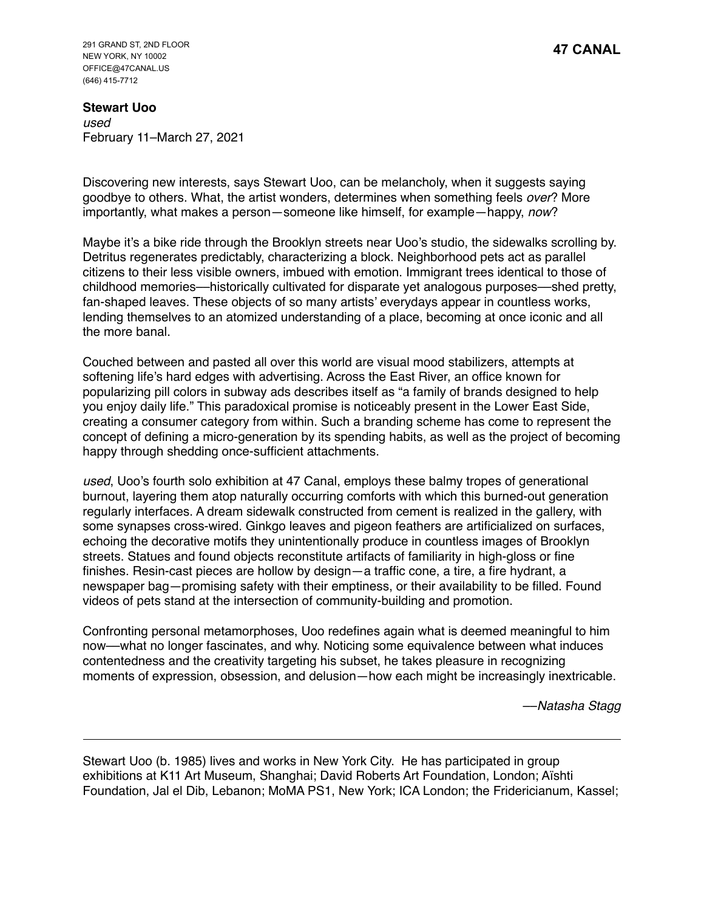291 GRAND ST, 2ND FLOOR NEW YORK, NY 10002 OFFICE@47CANAL.US (646) 415-7712

**Stewart Uoo** *used* February 11–March 27, 2021

Discovering new interests, says Stewart Uoo, can be melancholy, when it suggests saying goodbye to others. What, the artist wonders, determines when something feels *over*? More importantly, what makes a person—someone like himself, for example—happy, *now*?

Maybe it's a bike ride through the Brooklyn streets near Uoo's studio, the sidewalks scrolling by. Detritus regenerates predictably, characterizing a block. Neighborhood pets act as parallel citizens to their less visible owners, imbued with emotion. Immigrant trees identical to those of childhood memories––historically cultivated for disparate yet analogous purposes––shed pretty, fan-shaped leaves. These objects of so many artists' everydays appear in countless works, lending themselves to an atomized understanding of a place, becoming at once iconic and all the more banal.

Couched between and pasted all over this world are visual mood stabilizers, attempts at softening life's hard edges with advertising. Across the East River, an office known for popularizing pill colors in subway ads describes itself as "a family of brands designed to help you enjoy daily life." This paradoxical promise is noticeably present in the Lower East Side, creating a consumer category from within. Such a branding scheme has come to represent the concept of defining a micro-generation by its spending habits, as well as the project of becoming happy through shedding once-sufficient attachments.

*used*, Uoo's fourth solo exhibition at 47 Canal, employs these balmy tropes of generational burnout, layering them atop naturally occurring comforts with which this burned-out generation regularly interfaces. A dream sidewalk constructed from cement is realized in the gallery, with some synapses cross-wired. Ginkgo leaves and pigeon feathers are artificialized on surfaces, echoing the decorative motifs they unintentionally produce in countless images of Brooklyn streets. Statues and found objects reconstitute artifacts of familiarity in high-gloss or fine finishes. Resin-cast pieces are hollow by design—a traffic cone, a tire, a fire hydrant, a newspaper bag—promising safety with their emptiness, or their availability to be filled. Found videos of pets stand at the intersection of community-building and promotion.

Confronting personal metamorphoses, Uoo redefines again what is deemed meaningful to him now––what no longer fascinates, and why. Noticing some equivalence between what induces contentedness and the creativity targeting his subset, he takes pleasure in recognizing moments of expression, obsession, and delusion—how each might be increasingly inextricable.

––*Natasha Stagg*

Stewart Uoo (b. 1985) lives and works in New York City. He has participated in group exhibitions at K11 Art Museum, Shanghai; David Roberts Art Foundation, London; Aïshti Foundation, Jal el Dib, Lebanon; MoMA PS1, New York; ICA London; the Fridericianum, Kassel;